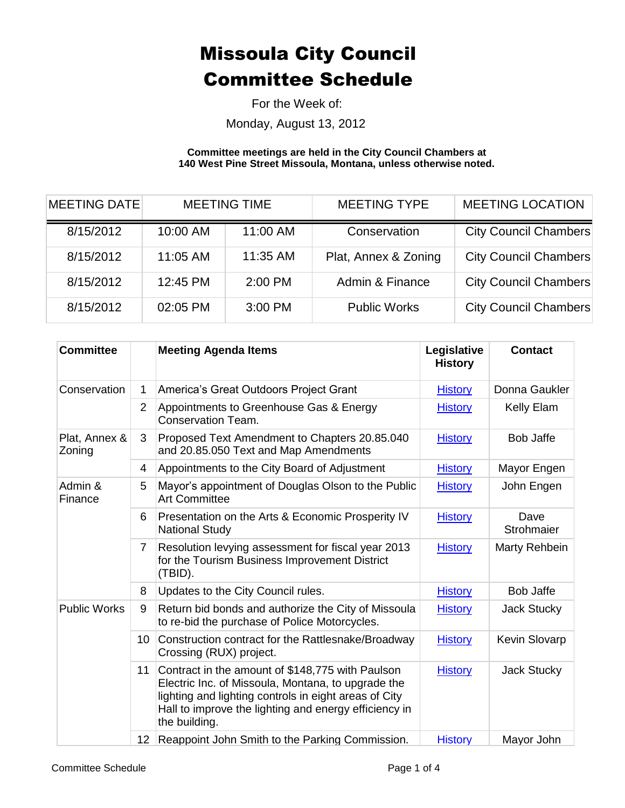For the Week of:

Monday, August 13, 2012

**Committee meetings are held in the City Council Chambers at 140 West Pine Street Missoula, Montana, unless otherwise noted.**

| <b>MEETING DATE</b> | <b>MEETING TIME</b> |          | <b>MEETING TYPE</b>  | <b>MEETING LOCATION</b>      |  |
|---------------------|---------------------|----------|----------------------|------------------------------|--|
| 8/15/2012           | 10:00 AM            | 11:00 AM | Conservation         | <b>City Council Chambers</b> |  |
| 8/15/2012           | 11:05 AM            | 11:35 AM | Plat, Annex & Zoning | <b>City Council Chambers</b> |  |
| 8/15/2012           | 12:45 PM            | 2:00 PM  | Admin & Finance      | <b>City Council Chambers</b> |  |
| 8/15/2012           | 02:05 PM            | 3:00 PM  | <b>Public Works</b>  | <b>City Council Chambers</b> |  |

| <b>Committee</b>        |                 | <b>Meeting Agenda Items</b>                                                                                                                                                                                                               | Legislative<br><b>History</b> | <b>Contact</b>       |
|-------------------------|-----------------|-------------------------------------------------------------------------------------------------------------------------------------------------------------------------------------------------------------------------------------------|-------------------------------|----------------------|
| Conservation            | 1               | America's Great Outdoors Project Grant                                                                                                                                                                                                    | <b>History</b>                | Donna Gaukler        |
|                         | $\overline{2}$  | Appointments to Greenhouse Gas & Energy<br><b>Conservation Team.</b>                                                                                                                                                                      | <b>History</b>                | Kelly Elam           |
| Plat, Annex &<br>Zoning | 3               | Proposed Text Amendment to Chapters 20.85.040<br>and 20.85.050 Text and Map Amendments                                                                                                                                                    | <b>History</b>                | <b>Bob Jaffe</b>     |
|                         | 4               | Appointments to the City Board of Adjustment                                                                                                                                                                                              | <b>History</b>                | Mayor Engen          |
| Admin &<br>Finance      | 5               | Mayor's appointment of Douglas Olson to the Public<br><b>Art Committee</b>                                                                                                                                                                | <b>History</b>                | John Engen           |
|                         | 6               | Presentation on the Arts & Economic Prosperity IV<br><b>National Study</b>                                                                                                                                                                | <b>History</b>                | Dave<br>Strohmaier   |
|                         | 7               | Resolution levying assessment for fiscal year 2013<br>for the Tourism Business Improvement District<br>(TBID).                                                                                                                            | <b>History</b>                | Marty Rehbein        |
|                         | 8               | Updates to the City Council rules.                                                                                                                                                                                                        | <b>History</b>                | <b>Bob Jaffe</b>     |
| <b>Public Works</b>     | 9               | Return bid bonds and authorize the City of Missoula<br>to re-bid the purchase of Police Motorcycles.                                                                                                                                      | <b>History</b>                | <b>Jack Stucky</b>   |
|                         | 10 <sup>1</sup> | Construction contract for the Rattlesnake/Broadway<br>Crossing (RUX) project.                                                                                                                                                             | <b>History</b>                | <b>Kevin Slovarp</b> |
|                         | 11              | Contract in the amount of \$148,775 with Paulson<br>Electric Inc. of Missoula, Montana, to upgrade the<br>lighting and lighting controls in eight areas of City<br>Hall to improve the lighting and energy efficiency in<br>the building. | <b>History</b>                | <b>Jack Stucky</b>   |
|                         | 12 <sup>1</sup> | Reappoint John Smith to the Parking Commission.                                                                                                                                                                                           | <b>History</b>                | Mayor John           |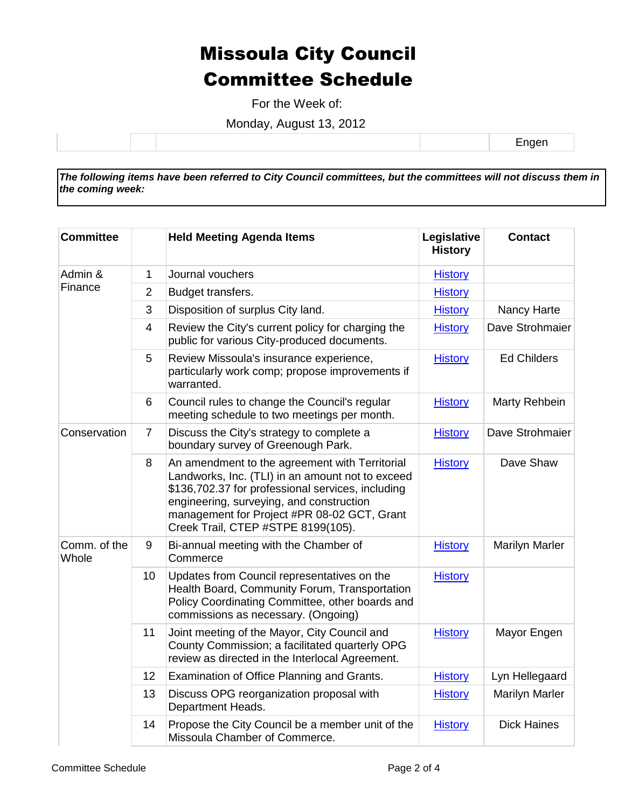For the Week of:

Monday, August 13, 2012

Engen

*The following items have been referred to City Council committees, but the committees will not discuss them in the coming week:*

| <b>Committee</b>      |                | <b>Held Meeting Agenda Items</b>                                                                                                                                                                                                                                                         | Legislative<br><b>History</b> | <b>Contact</b>        |
|-----------------------|----------------|------------------------------------------------------------------------------------------------------------------------------------------------------------------------------------------------------------------------------------------------------------------------------------------|-------------------------------|-----------------------|
| Admin &<br>Finance    | 1              | Journal vouchers                                                                                                                                                                                                                                                                         | <b>History</b>                |                       |
|                       | $\overline{2}$ | Budget transfers.                                                                                                                                                                                                                                                                        | <b>History</b>                |                       |
|                       | 3              | Disposition of surplus City land.                                                                                                                                                                                                                                                        | <b>History</b>                | Nancy Harte           |
|                       | $\overline{4}$ | Review the City's current policy for charging the<br>public for various City-produced documents.                                                                                                                                                                                         | <b>History</b>                | Dave Strohmaier       |
|                       | 5              | Review Missoula's insurance experience,<br>particularly work comp; propose improvements if<br>warranted.                                                                                                                                                                                 | <b>History</b>                | <b>Ed Childers</b>    |
|                       | 6              | Council rules to change the Council's regular<br>meeting schedule to two meetings per month.                                                                                                                                                                                             | <b>History</b>                | Marty Rehbein         |
| Conservation          | $\overline{7}$ | Discuss the City's strategy to complete a<br>boundary survey of Greenough Park.                                                                                                                                                                                                          | <b>History</b>                | Dave Strohmaier       |
|                       | 8              | An amendment to the agreement with Territorial<br>Landworks, Inc. (TLI) in an amount not to exceed<br>\$136,702.37 for professional services, including<br>engineering, surveying, and construction<br>management for Project #PR 08-02 GCT, Grant<br>Creek Trail, CTEP #STPE 8199(105). | <b>History</b>                | Dave Shaw             |
| Comm. of the<br>Whole | 9              | Bi-annual meeting with the Chamber of<br>Commerce                                                                                                                                                                                                                                        | <b>History</b>                | <b>Marilyn Marler</b> |
|                       | 10             | Updates from Council representatives on the<br>Health Board, Community Forum, Transportation<br>Policy Coordinating Committee, other boards and<br>commissions as necessary. (Ongoing)                                                                                                   | <b>History</b>                |                       |
|                       | 11             | Joint meeting of the Mayor, City Council and<br>County Commission; a facilitated quarterly OPG<br>review as directed in the Interlocal Agreement.                                                                                                                                        | <b>History</b>                | Mayor Engen           |
|                       | 12             | Examination of Office Planning and Grants.                                                                                                                                                                                                                                               | <b>History</b>                | Lyn Hellegaard        |
|                       | 13             | Discuss OPG reorganization proposal with<br>Department Heads.                                                                                                                                                                                                                            | <b>History</b>                | <b>Marilyn Marler</b> |
|                       | 14             | Propose the City Council be a member unit of the<br>Missoula Chamber of Commerce.                                                                                                                                                                                                        | <b>History</b>                | <b>Dick Haines</b>    |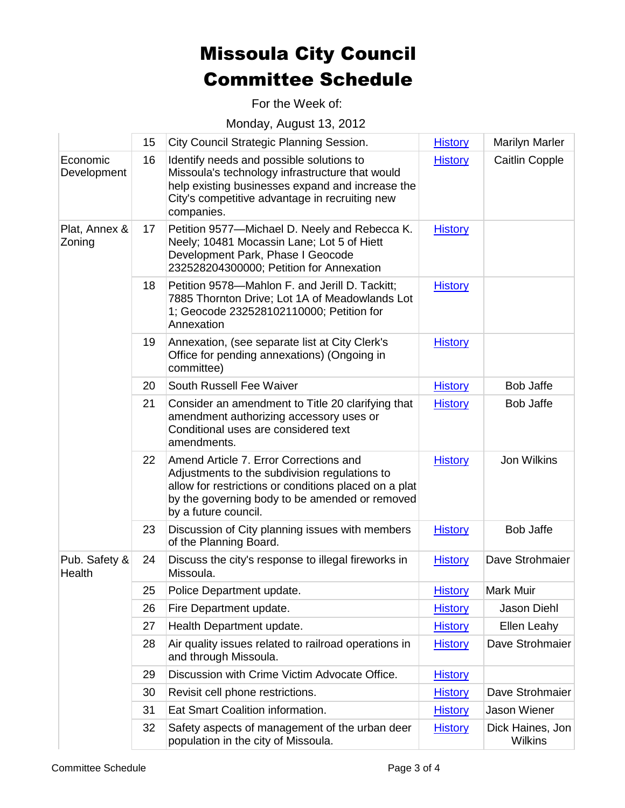For the Week of:

Monday, August 13, 2012

|                         | 15 | City Council Strategic Planning Session.                                                                                                                                                                                   | <b>History</b> | <b>Marilyn Marler</b>       |
|-------------------------|----|----------------------------------------------------------------------------------------------------------------------------------------------------------------------------------------------------------------------------|----------------|-----------------------------|
| Economic<br>Development | 16 | Identify needs and possible solutions to<br>Missoula's technology infrastructure that would<br>help existing businesses expand and increase the<br>City's competitive advantage in recruiting new<br>companies.            | <b>History</b> | <b>Caitlin Copple</b>       |
| Plat, Annex &<br>Zoning | 17 | Petition 9577-Michael D. Neely and Rebecca K.<br>Neely; 10481 Mocassin Lane; Lot 5 of Hiett<br>Development Park, Phase I Geocode<br>232528204300000; Petition for Annexation                                               | <b>History</b> |                             |
|                         | 18 | Petition 9578-Mahlon F. and Jerill D. Tackitt;<br>7885 Thornton Drive; Lot 1A of Meadowlands Lot<br>1; Geocode 232528102110000; Petition for<br>Annexation                                                                 | <b>History</b> |                             |
|                         | 19 | Annexation, (see separate list at City Clerk's<br>Office for pending annexations) (Ongoing in<br>committee)                                                                                                                | <b>History</b> |                             |
|                         | 20 | South Russell Fee Waiver                                                                                                                                                                                                   | <b>History</b> | <b>Bob Jaffe</b>            |
|                         | 21 | Consider an amendment to Title 20 clarifying that<br>amendment authorizing accessory uses or<br>Conditional uses are considered text<br>amendments.                                                                        | <b>History</b> | <b>Bob Jaffe</b>            |
|                         | 22 | Amend Article 7. Error Corrections and<br>Adjustments to the subdivision regulations to<br>allow for restrictions or conditions placed on a plat<br>by the governing body to be amended or removed<br>by a future council. | <b>History</b> | Jon Wilkins                 |
|                         | 23 | Discussion of City planning issues with members<br>of the Planning Board.                                                                                                                                                  | <b>History</b> | <b>Bob Jaffe</b>            |
| Pub. Safety &<br>Health | 24 | Discuss the city's response to illegal fireworks in<br>Missoula.                                                                                                                                                           | <b>History</b> | Dave Strohmaier             |
|                         | 25 | Police Department update.                                                                                                                                                                                                  | <b>History</b> | Mark Muir                   |
|                         | 26 | Fire Department update.                                                                                                                                                                                                    | <b>History</b> | Jason Diehl                 |
|                         | 27 | Health Department update.                                                                                                                                                                                                  | <b>History</b> | Ellen Leahy                 |
|                         | 28 | Air quality issues related to railroad operations in<br>and through Missoula.                                                                                                                                              | <b>History</b> | Dave Strohmaier             |
|                         | 29 | Discussion with Crime Victim Advocate Office.                                                                                                                                                                              | <b>History</b> |                             |
|                         | 30 | Revisit cell phone restrictions.                                                                                                                                                                                           | <b>History</b> | Dave Strohmaier             |
|                         | 31 | Eat Smart Coalition information.                                                                                                                                                                                           | <b>History</b> | Jason Wiener                |
|                         | 32 | Safety aspects of management of the urban deer<br>population in the city of Missoula.                                                                                                                                      | <b>History</b> | Dick Haines, Jon<br>Wilkins |